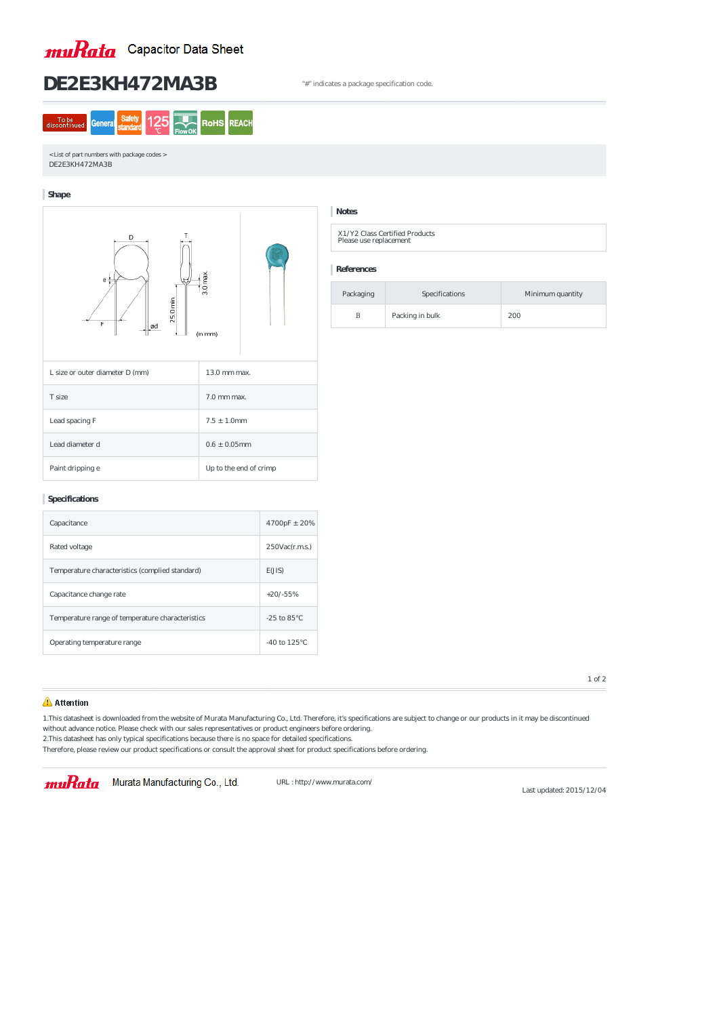

# **DE2E3KH472MA3B** "#" indicates a package specification code.

| To be<br>discontinued | Ge |  | <b>ROHS</b> | к |
|-----------------------|----|--|-------------|---|
|                       |    |  |             |   |

< List of part numbers with package codes > DE2E3KH472MA3B

### **Shape**



X1/Y2 Class Certified Products Please use replacement

### **Specifications**

| Capacitance                                      | $4700pF \pm 20%$     |  |
|--------------------------------------------------|----------------------|--|
| Rated voltage                                    | $250$ Vac $(r.m.s.)$ |  |
| Temperature characteristics (complied standard)  | E(JIS)               |  |
| Capacitance change rate                          | $+20/ -55%$          |  |
| Temperature range of temperature characteristics | $-25$ to $85$        |  |
| Operating temperature range                      | $-40$ to 125         |  |

## **Notes**

**References**

| Packaging | Specifications  | Minimum quantity |
|-----------|-----------------|------------------|
| В         | Packing in bulk | 200              |

1 of 2

### Attention

1.This datasheet is downloaded from the website of Murata Manufacturing Co., Ltd. Therefore, it's specifications are subject to change or our products in it may be discontinued without advance notice. Please check with our sales representatives or product engineers before ordering. 2.This datasheet has only typical specifications because there is no space for detailed specifications.

Therefore, please review our product specifications or consult the approval sheet for product specifications before ordering.

## muRata Murata Manufacturing Co., Ltd.

URL : http://www.murata.com/

Last updated: 2015/12/04